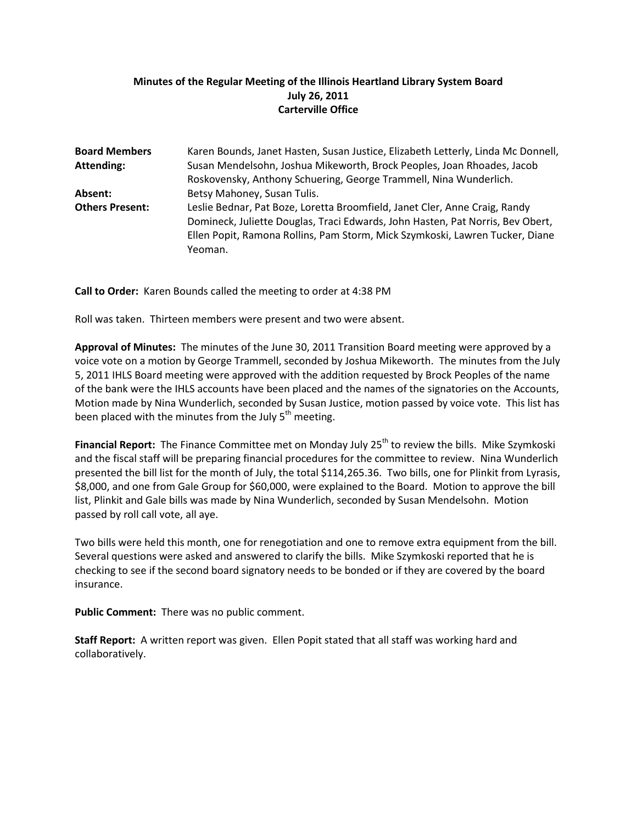## **Minutes of the Regular Meeting of the Illinois Heartland Library System Board July 26, 2011 Carterville Office**

| <b>Board Members</b>   | Karen Bounds, Janet Hasten, Susan Justice, Elizabeth Letterly, Linda Mc Donnell, |
|------------------------|----------------------------------------------------------------------------------|
| <b>Attending:</b>      | Susan Mendelsohn, Joshua Mikeworth, Brock Peoples, Joan Rhoades, Jacob           |
|                        | Roskovensky, Anthony Schuering, George Trammell, Nina Wunderlich.                |
| Absent:                | Betsy Mahoney, Susan Tulis.                                                      |
| <b>Others Present:</b> | Leslie Bednar, Pat Boze, Loretta Broomfield, Janet Cler, Anne Craig, Randy       |
|                        | Domineck, Juliette Douglas, Traci Edwards, John Hasten, Pat Norris, Bev Obert,   |
|                        | Ellen Popit, Ramona Rollins, Pam Storm, Mick Szymkoski, Lawren Tucker, Diane     |
|                        | Yeoman.                                                                          |

**Call to Order:** Karen Bounds called the meeting to order at 4:38 PM

Roll was taken. Thirteen members were present and two were absent.

**Approval of Minutes:** The minutes of the June 30, 2011 Transition Board meeting were approved by a voice vote on a motion by George Trammell, seconded by Joshua Mikeworth. The minutes from the July 5, 2011 IHLS Board meeting were approved with the addition requested by Brock Peoples of the name of the bank were the IHLS accounts have been placed and the names of the signatories on the Accounts, Motion made by Nina Wunderlich, seconded by Susan Justice, motion passed by voice vote. This list has been placed with the minutes from the July  $5<sup>th</sup>$  meeting.

Financial Report: The Finance Committee met on Monday July 25<sup>th</sup> to review the bills. Mike Szymkoski and the fiscal staff will be preparing financial procedures for the committee to review. Nina Wunderlich presented the bill list for the month of July, the total \$114,265.36. Two bills, one for Plinkit from Lyrasis, \$8,000, and one from Gale Group for \$60,000, were explained to the Board. Motion to approve the bill list, Plinkit and Gale bills was made by Nina Wunderlich, seconded by Susan Mendelsohn. Motion passed by roll call vote, all aye.

Two bills were held this month, one for renegotiation and one to remove extra equipment from the bill. Several questions were asked and answered to clarify the bills. Mike Szymkoski reported that he is checking to see if the second board signatory needs to be bonded or if they are covered by the board insurance.

**Public Comment:** There was no public comment.

**Staff Report:** A written report was given. Ellen Popit stated that all staff was working hard and collaboratively.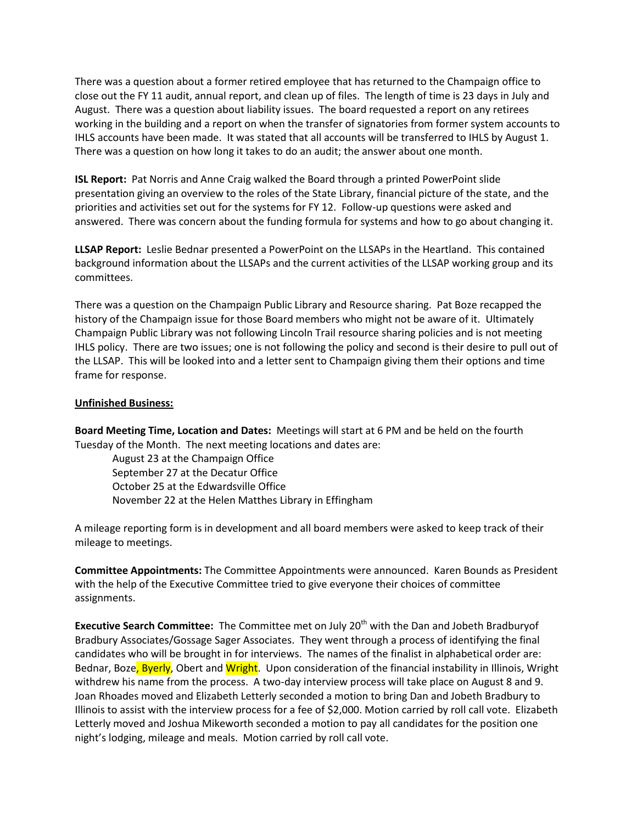There was a question about a former retired employee that has returned to the Champaign office to close out the FY 11 audit, annual report, and clean up of files. The length of time is 23 days in July and August. There was a question about liability issues. The board requested a report on any retirees working in the building and a report on when the transfer of signatories from former system accounts to IHLS accounts have been made. It was stated that all accounts will be transferred to IHLS by August 1. There was a question on how long it takes to do an audit; the answer about one month.

**ISL Report:** Pat Norris and Anne Craig walked the Board through a printed PowerPoint slide presentation giving an overview to the roles of the State Library, financial picture of the state, and the priorities and activities set out for the systems for FY 12. Follow-up questions were asked and answered. There was concern about the funding formula for systems and how to go about changing it.

**LLSAP Report:** Leslie Bednar presented a PowerPoint on the LLSAPs in the Heartland. This contained background information about the LLSAPs and the current activities of the LLSAP working group and its committees.

There was a question on the Champaign Public Library and Resource sharing. Pat Boze recapped the history of the Champaign issue for those Board members who might not be aware of it. Ultimately Champaign Public Library was not following Lincoln Trail resource sharing policies and is not meeting IHLS policy. There are two issues; one is not following the policy and second is their desire to pull out of the LLSAP. This will be looked into and a letter sent to Champaign giving them their options and time frame for response.

## **Unfinished Business:**

**Board Meeting Time, Location and Dates:** Meetings will start at 6 PM and be held on the fourth Tuesday of the Month. The next meeting locations and dates are:

August 23 at the Champaign Office September 27 at the Decatur Office October 25 at the Edwardsville Office November 22 at the Helen Matthes Library in Effingham

A mileage reporting form is in development and all board members were asked to keep track of their mileage to meetings.

**Committee Appointments:** The Committee Appointments were announced. Karen Bounds as President with the help of the Executive Committee tried to give everyone their choices of committee assignments.

**Executive Search Committee:** The Committee met on July 20<sup>th</sup> with the Dan and Jobeth Bradburyof Bradbury Associates/Gossage Sager Associates. They went through a process of identifying the final candidates who will be brought in for interviews. The names of the finalist in alphabetical order are: Bednar, Boze, Byerly, Obert and Wright. Upon consideration of the financial instability in Illinois, Wright withdrew his name from the process. A two-day interview process will take place on August 8 and 9. Joan Rhoades moved and Elizabeth Letterly seconded a motion to bring Dan and Jobeth Bradbury to Illinois to assist with the interview process for a fee of \$2,000. Motion carried by roll call vote. Elizabeth Letterly moved and Joshua Mikeworth seconded a motion to pay all candidates for the position one night's lodging, mileage and meals. Motion carried by roll call vote.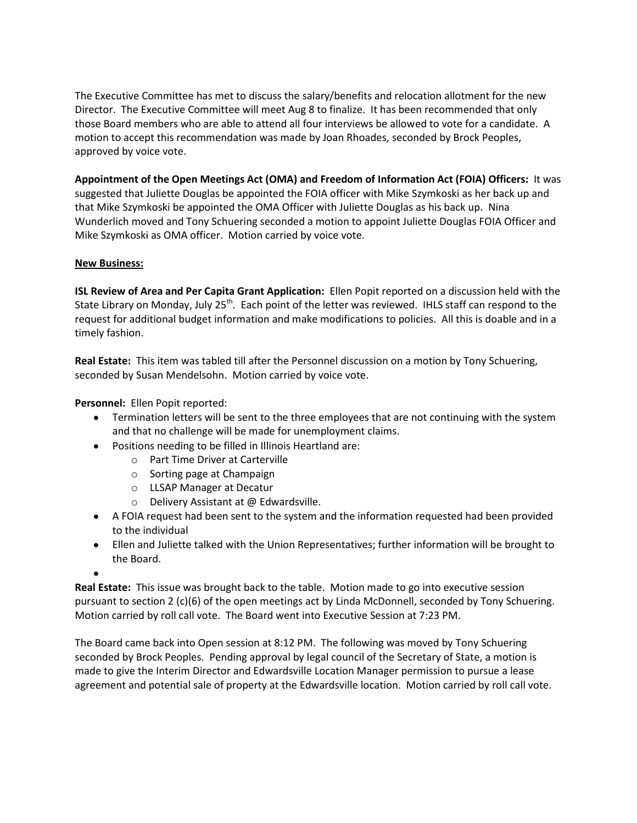The Executive Committee has met to discuss the salary/benefits and relocation allotment for the new Director. The Executive Committee will meet Aug 8 to finalize. It has been recommended that only those Board members who are able to attend all four interviews be allowed to vote for a candidate. A motion to accept this recommendation was made by Joan Rhoades, seconded by Brock Peoples, approved by voice vote.

**Appointment of the Open Meetings Act (OMA) and Freedom of Information Act (FOIA) Officers:** It was suggested that Juliette Douglas be appointed the FOIA officer with Mike Szymkoski as her back up and that Mike Szymkoski be appointed the OMA Officer with Juliette Douglas as his back up. Nina Wunderlich moved and Tony Schuering seconded a motion to appoint Juliette Douglas FOIA Officer and Mike Szymkoski as OMA officer. Motion carried by voice vote.

## **New Business:**

**ISL Review of Area and Per Capita Grant Application:** Ellen Popit reported on a discussion held with the State Library on Monday, July 25<sup>th</sup>. Each point of the letter was reviewed. IHLS staff can respond to the request for additional budget information and make modifications to policies. All this is doable and in a timely fashion.

**Real Estate:** This item was tabled till after the Personnel discussion on a motion by Tony Schuering, seconded by Susan Mendelsohn. Motion carried by voice vote.

**Personnel:** Ellen Popit reported:

- Termination letters will be sent to the three employees that are not continuing with the system and that no challenge will be made for unemployment claims.
- Positions needing to be filled in Illinois Heartland are:
	- o Part Time Driver at Carterville
	- o Sorting page at Champaign
	- o LLSAP Manager at Decatur
	- o Delivery Assistant at @ Edwardsville.
- A FOIA request had been sent to the system and the information requested had been provided to the individual
- Ellen and Juliette talked with the Union Representatives; further information will be brought to the Board.

**Real Estate:** This issue was brought back to the table. Motion made to go into executive session pursuant to section 2 (c)(6) of the open meetings act by Linda McDonnell, seconded by Tony Schuering. Motion carried by roll call vote. The Board went into Executive Session at 7:23 PM.

The Board came back into Open session at 8:12 PM. The following was moved by Tony Schuering seconded by Brock Peoples. Pending approval by legal council of the Secretary of State, a motion is made to give the Interim Director and Edwardsville Location Manager permission to pursue a lease agreement and potential sale of property at the Edwardsville location. Motion carried by roll call vote.